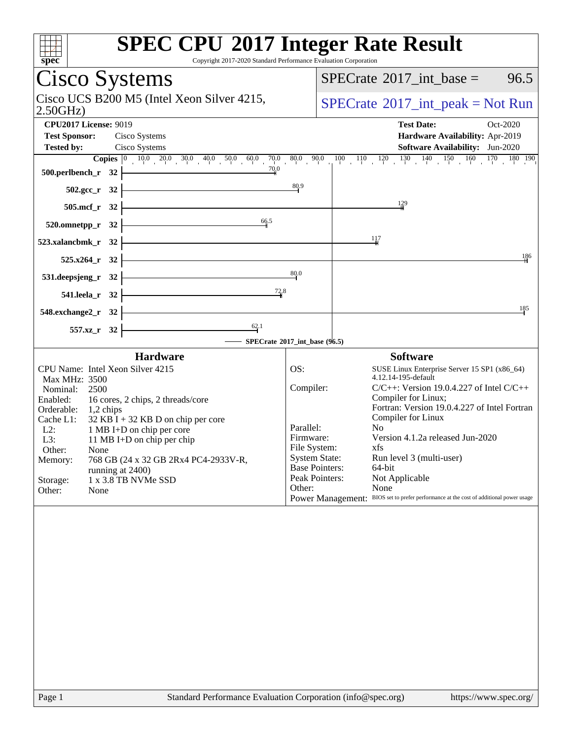| spec                                                                       | <b>SPEC CPU®2017 Integer Rate Result</b><br>Copyright 2017-2020 Standard Performance Evaluation Corporation                                                                                                                                    |
|----------------------------------------------------------------------------|------------------------------------------------------------------------------------------------------------------------------------------------------------------------------------------------------------------------------------------------|
| Cisco Systems                                                              | $SPECTate$ <sup>®</sup> 2017_int_base =<br>96.5                                                                                                                                                                                                |
| Cisco UCS B200 M5 (Intel Xeon Silver 4215,<br>2.50GHz                      | $SPECrate^{\circledast}2017\_int\_peak = Not Run$                                                                                                                                                                                              |
| <b>CPU2017 License: 9019</b>                                               | <b>Test Date:</b><br>Oct-2020                                                                                                                                                                                                                  |
| <b>Test Sponsor:</b><br>Cisco Systems                                      | Hardware Availability: Apr-2019                                                                                                                                                                                                                |
| <b>Tested by:</b><br>Cisco Systems                                         | Software Availability: Jun-2020                                                                                                                                                                                                                |
| 70.0<br>500.perlbench_r 32                                                 |                                                                                                                                                                                                                                                |
| $502.\text{sec}_r 32$                                                      | 80.9                                                                                                                                                                                                                                           |
| $505.\text{mcf}_r$ 32                                                      | 129                                                                                                                                                                                                                                            |
| 66.5<br>$520.0$ mnetpp_r $32$                                              |                                                                                                                                                                                                                                                |
| 523.xalancbmk_r 32                                                         | 117                                                                                                                                                                                                                                            |
| 525.x264_r 32                                                              | 186                                                                                                                                                                                                                                            |
| 531.deepsjeng_r 32                                                         | 80.0                                                                                                                                                                                                                                           |
| $\frac{72.8}{5}$<br>541.leela r 32                                         |                                                                                                                                                                                                                                                |
| 548.exchange2_r 32                                                         | 185                                                                                                                                                                                                                                            |
| $\frac{62.1}{ }$<br>557.xz_r 32                                            |                                                                                                                                                                                                                                                |
|                                                                            | SPECrate®2017_int_base (96.5)                                                                                                                                                                                                                  |
| <b>Hardware</b>                                                            | <b>Software</b>                                                                                                                                                                                                                                |
| CPU Name: Intel Xeon Silver 4215<br>Max MHz: 3500                          | OS:<br>SUSE Linux Enterprise Server 15 SP1 (x86_64)<br>4.12.14-195-default                                                                                                                                                                     |
| Nominal:<br>2500                                                           | Compiler:<br>$C/C++$ : Version 19.0.4.227 of Intel $C/C++$<br>Compiler for Linux;                                                                                                                                                              |
| Enabled:<br>16 cores, 2 chips, 2 threads/core<br>Orderable:<br>$1,2$ chips | Fortran: Version 19.0.4.227 of Intel Fortran                                                                                                                                                                                                   |
| $32$ KB I + 32 KB D on chip per core<br>Cache L1:                          | Compiler for Linux                                                                                                                                                                                                                             |
| 1 MB I+D on chip per core<br>$L2$ :<br>L3:<br>11 MB I+D on chip per chip   | Parallel:<br>N <sub>0</sub><br>Version 4.1.2a released Jun-2020<br>Firmware:                                                                                                                                                                   |
| Other:<br>None                                                             | File System:<br>xfs and the set of the set of the set of the set of the set of the set of the set of the set of the set of the set of the set of the set of the set of the set of the set of the set of the set of the set of the set of the s |
| 768 GB (24 x 32 GB 2Rx4 PC4-2933V-R,<br>Memory:                            | <b>System State:</b><br>Run level 3 (multi-user)<br><b>Base Pointers:</b><br>64-bit                                                                                                                                                            |
| running at 2400)<br>1 x 3.8 TB NVMe SSD<br>Storage:                        | Peak Pointers:<br>Not Applicable                                                                                                                                                                                                               |
| Other:<br>None                                                             | None<br>Other:                                                                                                                                                                                                                                 |
|                                                                            | BIOS set to prefer performance at the cost of additional power usage<br><b>Power Management:</b>                                                                                                                                               |
|                                                                            |                                                                                                                                                                                                                                                |
|                                                                            |                                                                                                                                                                                                                                                |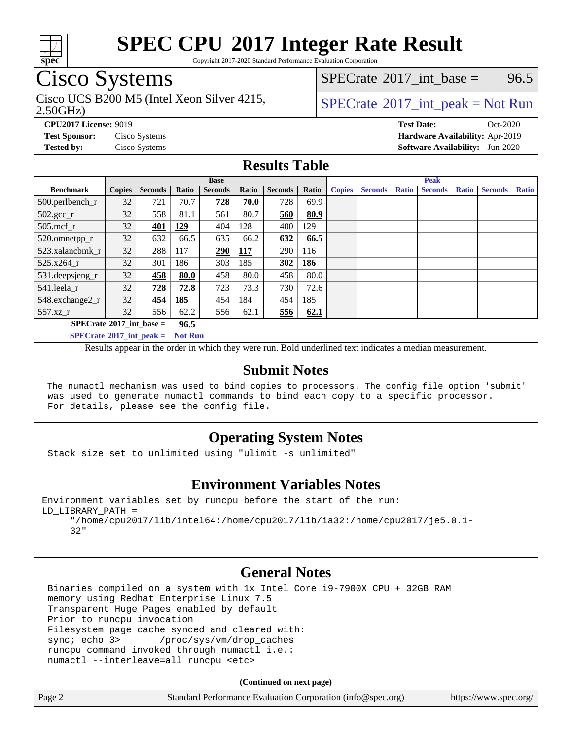

Copyright 2017-2020 Standard Performance Evaluation Corporation

# Cisco Systems

2.50GHz) Cisco UCS B200 M5 (Intel Xeon Silver 4215,  $\vert$ [SPECrate](http://www.spec.org/auto/cpu2017/Docs/result-fields.html#SPECrate2017intpeak)®[2017\\_int\\_peak = N](http://www.spec.org/auto/cpu2017/Docs/result-fields.html#SPECrate2017intpeak)ot Run

[SPECrate](http://www.spec.org/auto/cpu2017/Docs/result-fields.html#SPECrate2017intbase)<sup>®</sup>2017 int base = 96.5

**[CPU2017 License:](http://www.spec.org/auto/cpu2017/Docs/result-fields.html#CPU2017License)** 9019 **[Test Date:](http://www.spec.org/auto/cpu2017/Docs/result-fields.html#TestDate)** Oct-2020 **[Test Sponsor:](http://www.spec.org/auto/cpu2017/Docs/result-fields.html#TestSponsor)** Cisco Systems **[Hardware Availability:](http://www.spec.org/auto/cpu2017/Docs/result-fields.html#HardwareAvailability)** Apr-2019 **[Tested by:](http://www.spec.org/auto/cpu2017/Docs/result-fields.html#Testedby)** Cisco Systems **[Software Availability:](http://www.spec.org/auto/cpu2017/Docs/result-fields.html#SoftwareAvailability)** Jun-2020

## **[Results Table](http://www.spec.org/auto/cpu2017/Docs/result-fields.html#ResultsTable)**

|                                           | <b>Base</b>   |                |                |                |             | <b>Peak</b>    |       |               |                |              |                |              |                |              |
|-------------------------------------------|---------------|----------------|----------------|----------------|-------------|----------------|-------|---------------|----------------|--------------|----------------|--------------|----------------|--------------|
| <b>Benchmark</b>                          | <b>Copies</b> | <b>Seconds</b> | Ratio          | <b>Seconds</b> | Ratio       | <b>Seconds</b> | Ratio | <b>Copies</b> | <b>Seconds</b> | <b>Ratio</b> | <b>Seconds</b> | <b>Ratio</b> | <b>Seconds</b> | <b>Ratio</b> |
| $500.$ perlbench_r                        | 32            | 721            | 70.7           | 728            | 70.0        | 728            | 69.9  |               |                |              |                |              |                |              |
| $502.\text{gcc}$ <sub>r</sub>             | 32            | 558            | 81.1           | 561            | 80.7        | 560            | 80.9  |               |                |              |                |              |                |              |
| $505$ .mcf r                              | 32            | 401            | <u>129</u>     | 404            | 128         | 400            | 129   |               |                |              |                |              |                |              |
| 520.omnetpp_r                             | 32            | 632            | 66.5           | 635            | 66.2        | 632            | 66.5  |               |                |              |                |              |                |              |
| 523.xalancbmk_r                           | 32            | 288            | 117            | 290            | <u> 117</u> | 290            | 116   |               |                |              |                |              |                |              |
| 525.x264 r                                | 32            | 301            | 186            | 303            | 185         | 302            | 186   |               |                |              |                |              |                |              |
| $531.$ deepsjeng $_r$                     | 32            | 458            | 80.0           | 458            | 80.0        | 458            | 80.0  |               |                |              |                |              |                |              |
| 541.leela r                               | 32            | 728            | 72.8           | 723            | 73.3        | 730            | 72.6  |               |                |              |                |              |                |              |
| 548.exchange2_r                           | 32            | 454            | 185            | 454            | 184         | 454            | 185   |               |                |              |                |              |                |              |
| 557.xz r                                  | 32            | 556            | 62.2           | 556            | 62.1        | 556            | 62.1  |               |                |              |                |              |                |              |
| $SPECrate^{\circ}2017$ int base =<br>96.5 |               |                |                |                |             |                |       |               |                |              |                |              |                |              |
| $SPECrate^{\circ}2017\_int\_peak =$       |               |                | <b>Not Run</b> |                |             |                |       |               |                |              |                |              |                |              |

Results appear in the [order in which they were run.](http://www.spec.org/auto/cpu2017/Docs/result-fields.html#RunOrder) Bold underlined text [indicates a median measurement.](http://www.spec.org/auto/cpu2017/Docs/result-fields.html#Median)

## **[Submit Notes](http://www.spec.org/auto/cpu2017/Docs/result-fields.html#SubmitNotes)**

 The numactl mechanism was used to bind copies to processors. The config file option 'submit' was used to generate numactl commands to bind each copy to a specific processor. For details, please see the config file.

## **[Operating System Notes](http://www.spec.org/auto/cpu2017/Docs/result-fields.html#OperatingSystemNotes)**

Stack size set to unlimited using "ulimit -s unlimited"

## **[Environment Variables Notes](http://www.spec.org/auto/cpu2017/Docs/result-fields.html#EnvironmentVariablesNotes)**

```
Environment variables set by runcpu before the start of the run:
LD_LIBRARY_PATH =
      "/home/cpu2017/lib/intel64:/home/cpu2017/lib/ia32:/home/cpu2017/je5.0.1-
```
### 32"

## **[General Notes](http://www.spec.org/auto/cpu2017/Docs/result-fields.html#GeneralNotes)**

 Binaries compiled on a system with 1x Intel Core i9-7900X CPU + 32GB RAM memory using Redhat Enterprise Linux 7.5 Transparent Huge Pages enabled by default Prior to runcpu invocation Filesystem page cache synced and cleared with: sync; echo 3> /proc/sys/vm/drop\_caches runcpu command invoked through numactl i.e.: numactl --interleave=all runcpu <etc>

**(Continued on next page)**

| Standard Performance Evaluation Corporation (info@spec.org)<br>Page 2 | https://www.spec.org/ |
|-----------------------------------------------------------------------|-----------------------|
|-----------------------------------------------------------------------|-----------------------|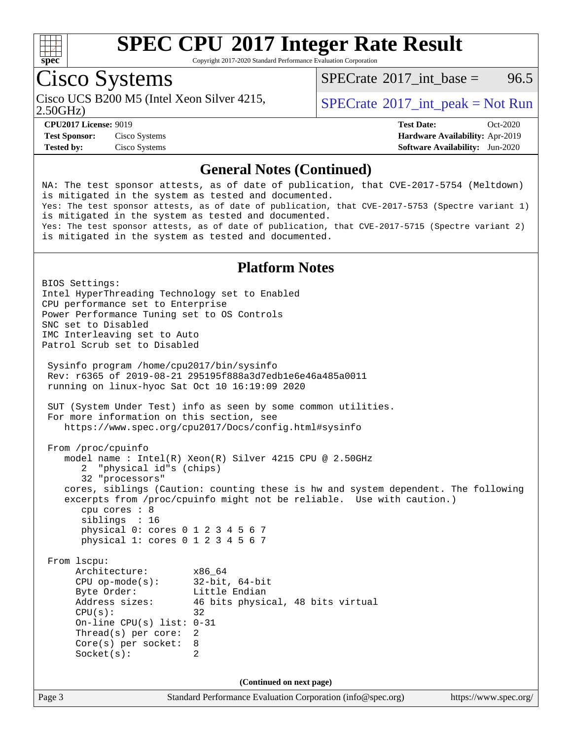

Copyright 2017-2020 Standard Performance Evaluation Corporation

# Cisco Systems

Cisco UCS B200 M5 (Intel Xeon Silver 4215,  $\vert$ [SPECrate](http://www.spec.org/auto/cpu2017/Docs/result-fields.html#SPECrate2017intpeak)®[2017\\_int\\_peak = N](http://www.spec.org/auto/cpu2017/Docs/result-fields.html#SPECrate2017intpeak)ot Run

[SPECrate](http://www.spec.org/auto/cpu2017/Docs/result-fields.html#SPECrate2017intbase)<sup>®</sup>2017 int base = 96.5

2.50GHz)

**[CPU2017 License:](http://www.spec.org/auto/cpu2017/Docs/result-fields.html#CPU2017License)** 9019 **[Test Date:](http://www.spec.org/auto/cpu2017/Docs/result-fields.html#TestDate)** Oct-2020 **[Test Sponsor:](http://www.spec.org/auto/cpu2017/Docs/result-fields.html#TestSponsor)** Cisco Systems **[Hardware Availability:](http://www.spec.org/auto/cpu2017/Docs/result-fields.html#HardwareAvailability)** Apr-2019 **[Tested by:](http://www.spec.org/auto/cpu2017/Docs/result-fields.html#Testedby)** Cisco Systems **[Software Availability:](http://www.spec.org/auto/cpu2017/Docs/result-fields.html#SoftwareAvailability)** Jun-2020

## **[General Notes \(Continued\)](http://www.spec.org/auto/cpu2017/Docs/result-fields.html#GeneralNotes)**

NA: The test sponsor attests, as of date of publication, that CVE-2017-5754 (Meltdown) is mitigated in the system as tested and documented. Yes: The test sponsor attests, as of date of publication, that CVE-2017-5753 (Spectre variant 1) is mitigated in the system as tested and documented. Yes: The test sponsor attests, as of date of publication, that CVE-2017-5715 (Spectre variant 2) is mitigated in the system as tested and documented.

## **[Platform Notes](http://www.spec.org/auto/cpu2017/Docs/result-fields.html#PlatformNotes)**

Page 3 Standard Performance Evaluation Corporation [\(info@spec.org\)](mailto:info@spec.org) <https://www.spec.org/> BIOS Settings: Intel HyperThreading Technology set to Enabled CPU performance set to Enterprise Power Performance Tuning set to OS Controls SNC set to Disabled IMC Interleaving set to Auto Patrol Scrub set to Disabled Sysinfo program /home/cpu2017/bin/sysinfo Rev: r6365 of 2019-08-21 295195f888a3d7edb1e6e46a485a0011 running on linux-hyoc Sat Oct 10 16:19:09 2020 SUT (System Under Test) info as seen by some common utilities. For more information on this section, see <https://www.spec.org/cpu2017/Docs/config.html#sysinfo> From /proc/cpuinfo model name : Intel(R) Xeon(R) Silver 4215 CPU @ 2.50GHz 2 "physical id"s (chips) 32 "processors" cores, siblings (Caution: counting these is hw and system dependent. The following excerpts from /proc/cpuinfo might not be reliable. Use with caution.) cpu cores : 8 siblings : 16 physical 0: cores 0 1 2 3 4 5 6 7 physical 1: cores 0 1 2 3 4 5 6 7 From lscpu: Architecture: x86\_64<br>
CPU op-mode(s): 32-bit, 64-bit CPU op-mode $(s)$ : Byte Order: Little Endian Address sizes: 46 bits physical, 48 bits virtual  $CPU(s):$  32 On-line CPU(s) list: 0-31 Thread(s) per core: 2 Core(s) per socket: 8 Socket(s): 2 **(Continued on next page)**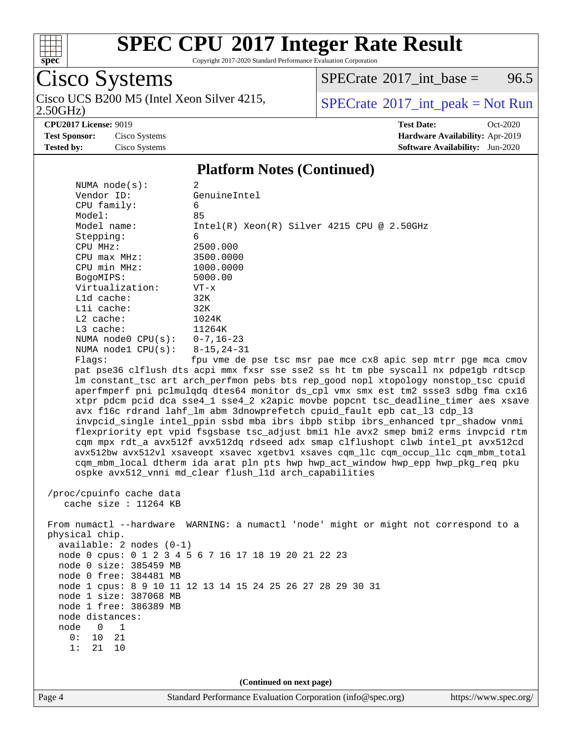

Copyright 2017-2020 Standard Performance Evaluation Corporation

# Cisco Systems

2.50GHz) Cisco UCS B200 M5 (Intel Xeon Silver 4215,  $\big|$  [SPECrate](http://www.spec.org/auto/cpu2017/Docs/result-fields.html#SPECrate2017intpeak)<sup>®</sup>[2017\\_int\\_peak = N](http://www.spec.org/auto/cpu2017/Docs/result-fields.html#SPECrate2017intpeak)ot Run 2.50GHz)

 $SPECTate@2017_int\_base = 96.5$ 

**[CPU2017 License:](http://www.spec.org/auto/cpu2017/Docs/result-fields.html#CPU2017License)** 9019 **[Test Date:](http://www.spec.org/auto/cpu2017/Docs/result-fields.html#TestDate)** Oct-2020 **[Test Sponsor:](http://www.spec.org/auto/cpu2017/Docs/result-fields.html#TestSponsor)** Cisco Systems **[Hardware Availability:](http://www.spec.org/auto/cpu2017/Docs/result-fields.html#HardwareAvailability)** Apr-2019 **[Tested by:](http://www.spec.org/auto/cpu2017/Docs/result-fields.html#Testedby)** Cisco Systems **[Software Availability:](http://www.spec.org/auto/cpu2017/Docs/result-fields.html#SoftwareAvailability)** Jun-2020

## **[Platform Notes \(Continued\)](http://www.spec.org/auto/cpu2017/Docs/result-fields.html#PlatformNotes)**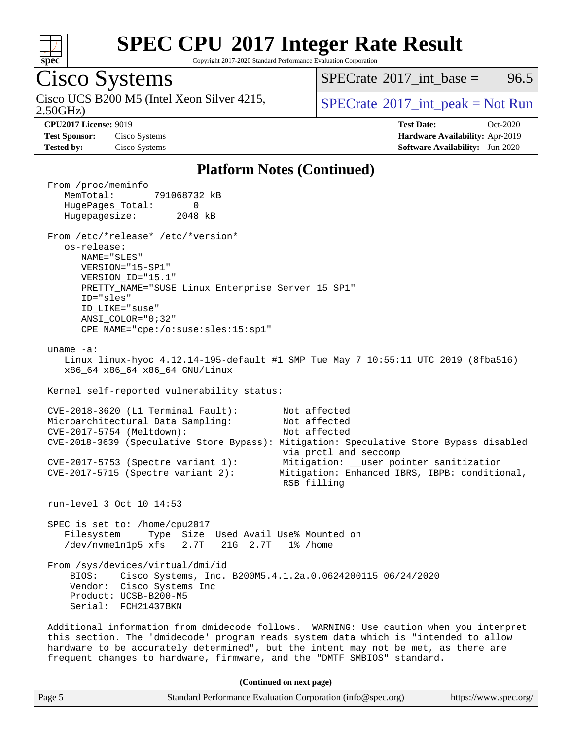

Copyright 2017-2020 Standard Performance Evaluation Corporation

# Cisco Systems

2.50GHz) Cisco UCS B200 M5 (Intel Xeon Silver 4215,  $\vert$ [SPECrate](http://www.spec.org/auto/cpu2017/Docs/result-fields.html#SPECrate2017intpeak)®[2017\\_int\\_peak = N](http://www.spec.org/auto/cpu2017/Docs/result-fields.html#SPECrate2017intpeak)ot Run

[SPECrate](http://www.spec.org/auto/cpu2017/Docs/result-fields.html#SPECrate2017intbase)<sup>®</sup>2017 int base = 96.5

**[Test Sponsor:](http://www.spec.org/auto/cpu2017/Docs/result-fields.html#TestSponsor)** Cisco Systems **[Hardware Availability:](http://www.spec.org/auto/cpu2017/Docs/result-fields.html#HardwareAvailability)** Apr-2019 **[Tested by:](http://www.spec.org/auto/cpu2017/Docs/result-fields.html#Testedby)** Cisco Systems **[Software Availability:](http://www.spec.org/auto/cpu2017/Docs/result-fields.html#SoftwareAvailability)** Jun-2020

**[CPU2017 License:](http://www.spec.org/auto/cpu2017/Docs/result-fields.html#CPU2017License)** 9019 **[Test Date:](http://www.spec.org/auto/cpu2017/Docs/result-fields.html#TestDate)** Oct-2020

## **[Platform Notes \(Continued\)](http://www.spec.org/auto/cpu2017/Docs/result-fields.html#PlatformNotes)**

 From /proc/meminfo MemTotal: 791068732 kB HugePages\_Total: 0 Hugepagesize: 2048 kB From /etc/\*release\* /etc/\*version\* os-release: NAME="SLES" VERSION="15-SP1" VERSION\_ID="15.1" PRETTY\_NAME="SUSE Linux Enterprise Server 15 SP1" ID="sles" ID\_LIKE="suse" ANSI\_COLOR="0;32" CPE\_NAME="cpe:/o:suse:sles:15:sp1" uname -a: Linux linux-hyoc 4.12.14-195-default #1 SMP Tue May 7 10:55:11 UTC 2019 (8fba516) x86\_64 x86\_64 x86\_64 GNU/Linux Kernel self-reported vulnerability status: CVE-2018-3620 (L1 Terminal Fault): Not affected Microarchitectural Data Sampling: Not affected CVE-2017-5754 (Meltdown): Not affected CVE-2018-3639 (Speculative Store Bypass): Mitigation: Speculative Store Bypass disabled via prctl and seccomp CVE-2017-5753 (Spectre variant 1): Mitigation: \_\_user pointer sanitization CVE-2017-5715 (Spectre variant 2): Mitigation: Enhanced IBRS, IBPB: conditional, RSB filling run-level 3 Oct 10 14:53 SPEC is set to: /home/cpu2017 Filesystem Type Size Used Avail Use% Mounted on /dev/nvme1n1p5 xfs 2.7T 21G 2.7T 1% /home From /sys/devices/virtual/dmi/id BIOS: Cisco Systems, Inc. B200M5.4.1.2a.0.0624200115 06/24/2020 Vendor: Cisco Systems Inc Product: UCSB-B200-M5 Serial: FCH21437BKN Additional information from dmidecode follows. WARNING: Use caution when you interpret this section. The 'dmidecode' program reads system data which is "intended to allow hardware to be accurately determined", but the intent may not be met, as there are frequent changes to hardware, firmware, and the "DMTF SMBIOS" standard. **(Continued on next page)**

Page 5 Standard Performance Evaluation Corporation [\(info@spec.org\)](mailto:info@spec.org) <https://www.spec.org/>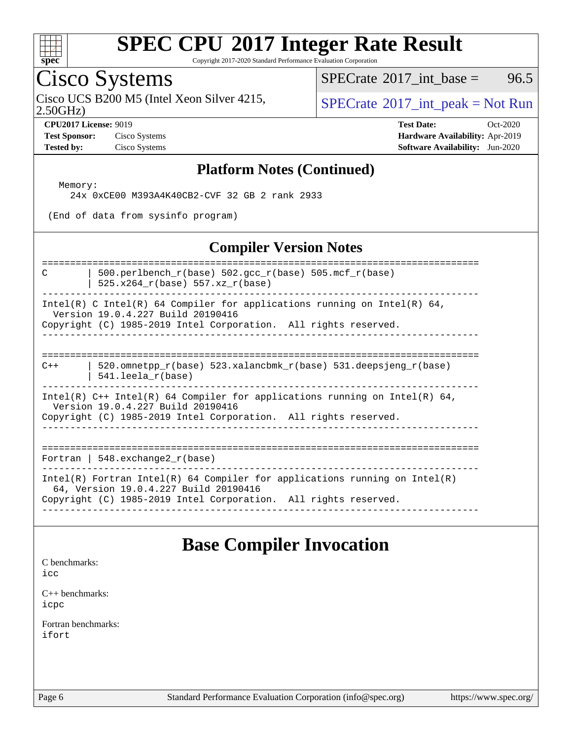

Copyright 2017-2020 Standard Performance Evaluation Corporation

# Cisco Systems

Cisco UCS B200 M5 (Intel Xeon Silver 4215,  $\vert$  [SPECrate](http://www.spec.org/auto/cpu2017/Docs/result-fields.html#SPECrate2017intpeak) 2017 int peak = Not Run

[SPECrate](http://www.spec.org/auto/cpu2017/Docs/result-fields.html#SPECrate2017intbase)<sup>®</sup>2017 int base = 96.5

2.50GHz)

**[Test Sponsor:](http://www.spec.org/auto/cpu2017/Docs/result-fields.html#TestSponsor)** Cisco Systems **[Hardware Availability:](http://www.spec.org/auto/cpu2017/Docs/result-fields.html#HardwareAvailability)** Apr-2019

**[CPU2017 License:](http://www.spec.org/auto/cpu2017/Docs/result-fields.html#CPU2017License)** 9019 **[Test Date:](http://www.spec.org/auto/cpu2017/Docs/result-fields.html#TestDate)** Oct-2020 **[Tested by:](http://www.spec.org/auto/cpu2017/Docs/result-fields.html#Testedby)** Cisco Systems **[Software Availability:](http://www.spec.org/auto/cpu2017/Docs/result-fields.html#SoftwareAvailability)** Jun-2020

## **[Platform Notes \(Continued\)](http://www.spec.org/auto/cpu2017/Docs/result-fields.html#PlatformNotes)**

 Memory: 24x 0xCE00 M393A4K40CB2-CVF 32 GB 2 rank 2933

(End of data from sysinfo program)

## **[Compiler Version Notes](http://www.spec.org/auto/cpu2017/Docs/result-fields.html#CompilerVersionNotes)**

============================================================================== C  $\vert$  500.perlbench\_r(base) 502.gcc\_r(base) 505.mcf\_r(base) | 525.x264  $r(base)$  557.xz  $r(base)$ ------------------------------------------------------------------------------ Intel(R) C Intel(R) 64 Compiler for applications running on Intel(R) 64, Version 19.0.4.227 Build 20190416 Copyright (C) 1985-2019 Intel Corporation. All rights reserved. ------------------------------------------------------------------------------ ============================================================================== C++ | 520.omnetpp\_r(base) 523.xalancbmk\_r(base) 531.deepsjeng\_r(base) | 541.leela\_r(base) ------------------------------------------------------------------------------ Intel(R) C++ Intel(R) 64 Compiler for applications running on Intel(R) 64, Version 19.0.4.227 Build 20190416 Copyright (C) 1985-2019 Intel Corporation. All rights reserved. ------------------------------------------------------------------------------ ============================================================================== Fortran | 548.exchange2\_r(base) ------------------------------------------------------------------------------ Intel(R) Fortran Intel(R) 64 Compiler for applications running on Intel(R) 64, Version 19.0.4.227 Build 20190416

Copyright (C) 1985-2019 Intel Corporation. All rights reserved. ------------------------------------------------------------------------------

## **[Base Compiler Invocation](http://www.spec.org/auto/cpu2017/Docs/result-fields.html#BaseCompilerInvocation)**

[C benchmarks](http://www.spec.org/auto/cpu2017/Docs/result-fields.html#Cbenchmarks):

[icc](http://www.spec.org/cpu2017/results/res2020q4/cpu2017-20201013-24197.flags.html#user_CCbase_intel_icc_66fc1ee009f7361af1fbd72ca7dcefbb700085f36577c54f309893dd4ec40d12360134090235512931783d35fd58c0460139e722d5067c5574d8eaf2b3e37e92)

[C++ benchmarks:](http://www.spec.org/auto/cpu2017/Docs/result-fields.html#CXXbenchmarks) [icpc](http://www.spec.org/cpu2017/results/res2020q4/cpu2017-20201013-24197.flags.html#user_CXXbase_intel_icpc_c510b6838c7f56d33e37e94d029a35b4a7bccf4766a728ee175e80a419847e808290a9b78be685c44ab727ea267ec2f070ec5dc83b407c0218cded6866a35d07)

[Fortran benchmarks](http://www.spec.org/auto/cpu2017/Docs/result-fields.html#Fortranbenchmarks): [ifort](http://www.spec.org/cpu2017/results/res2020q4/cpu2017-20201013-24197.flags.html#user_FCbase_intel_ifort_8111460550e3ca792625aed983ce982f94888b8b503583aa7ba2b8303487b4d8a21a13e7191a45c5fd58ff318f48f9492884d4413fa793fd88dd292cad7027ca)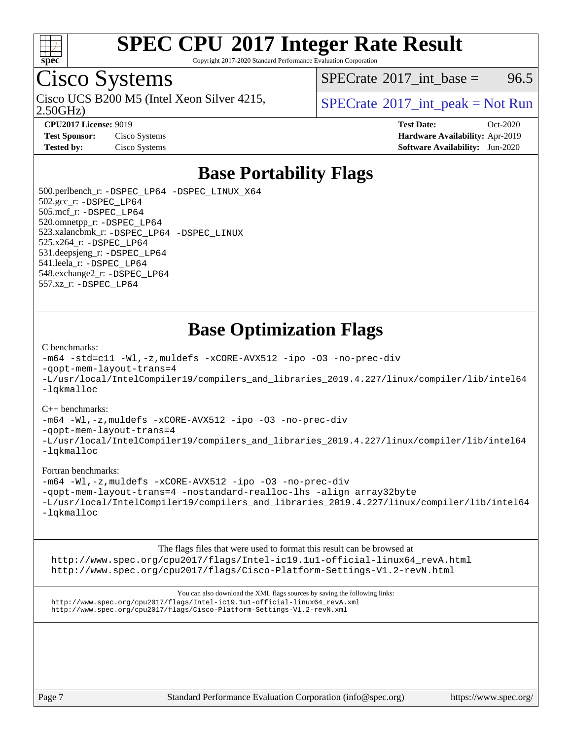

Copyright 2017-2020 Standard Performance Evaluation Corporation

# Cisco Systems

2.50GHz) Cisco UCS B200 M5 (Intel Xeon Silver 4215,  $\vert$ [SPECrate](http://www.spec.org/auto/cpu2017/Docs/result-fields.html#SPECrate2017intpeak)®[2017\\_int\\_peak = N](http://www.spec.org/auto/cpu2017/Docs/result-fields.html#SPECrate2017intpeak)ot Run

[SPECrate](http://www.spec.org/auto/cpu2017/Docs/result-fields.html#SPECrate2017intbase)<sup>®</sup>2017 int base = 96.5

**[CPU2017 License:](http://www.spec.org/auto/cpu2017/Docs/result-fields.html#CPU2017License)** 9019 **[Test Date:](http://www.spec.org/auto/cpu2017/Docs/result-fields.html#TestDate)** Oct-2020 **[Test Sponsor:](http://www.spec.org/auto/cpu2017/Docs/result-fields.html#TestSponsor)** Cisco Systems **[Hardware Availability:](http://www.spec.org/auto/cpu2017/Docs/result-fields.html#HardwareAvailability)** Apr-2019 **[Tested by:](http://www.spec.org/auto/cpu2017/Docs/result-fields.html#Testedby)** Cisco Systems **[Software Availability:](http://www.spec.org/auto/cpu2017/Docs/result-fields.html#SoftwareAvailability)** Jun-2020

# **[Base Portability Flags](http://www.spec.org/auto/cpu2017/Docs/result-fields.html#BasePortabilityFlags)**

 500.perlbench\_r: [-DSPEC\\_LP64](http://www.spec.org/cpu2017/results/res2020q4/cpu2017-20201013-24197.flags.html#b500.perlbench_r_basePORTABILITY_DSPEC_LP64) [-DSPEC\\_LINUX\\_X64](http://www.spec.org/cpu2017/results/res2020q4/cpu2017-20201013-24197.flags.html#b500.perlbench_r_baseCPORTABILITY_DSPEC_LINUX_X64) 502.gcc\_r: [-DSPEC\\_LP64](http://www.spec.org/cpu2017/results/res2020q4/cpu2017-20201013-24197.flags.html#suite_basePORTABILITY502_gcc_r_DSPEC_LP64) 505.mcf\_r: [-DSPEC\\_LP64](http://www.spec.org/cpu2017/results/res2020q4/cpu2017-20201013-24197.flags.html#suite_basePORTABILITY505_mcf_r_DSPEC_LP64) 520.omnetpp\_r: [-DSPEC\\_LP64](http://www.spec.org/cpu2017/results/res2020q4/cpu2017-20201013-24197.flags.html#suite_basePORTABILITY520_omnetpp_r_DSPEC_LP64) 523.xalancbmk\_r: [-DSPEC\\_LP64](http://www.spec.org/cpu2017/results/res2020q4/cpu2017-20201013-24197.flags.html#suite_basePORTABILITY523_xalancbmk_r_DSPEC_LP64) [-DSPEC\\_LINUX](http://www.spec.org/cpu2017/results/res2020q4/cpu2017-20201013-24197.flags.html#b523.xalancbmk_r_baseCXXPORTABILITY_DSPEC_LINUX) 525.x264\_r: [-DSPEC\\_LP64](http://www.spec.org/cpu2017/results/res2020q4/cpu2017-20201013-24197.flags.html#suite_basePORTABILITY525_x264_r_DSPEC_LP64) 531.deepsjeng\_r: [-DSPEC\\_LP64](http://www.spec.org/cpu2017/results/res2020q4/cpu2017-20201013-24197.flags.html#suite_basePORTABILITY531_deepsjeng_r_DSPEC_LP64) 541.leela\_r: [-DSPEC\\_LP64](http://www.spec.org/cpu2017/results/res2020q4/cpu2017-20201013-24197.flags.html#suite_basePORTABILITY541_leela_r_DSPEC_LP64) 548.exchange2\_r: [-DSPEC\\_LP64](http://www.spec.org/cpu2017/results/res2020q4/cpu2017-20201013-24197.flags.html#suite_basePORTABILITY548_exchange2_r_DSPEC_LP64) 557.xz\_r: [-DSPEC\\_LP64](http://www.spec.org/cpu2017/results/res2020q4/cpu2017-20201013-24197.flags.html#suite_basePORTABILITY557_xz_r_DSPEC_LP64)

# **[Base Optimization Flags](http://www.spec.org/auto/cpu2017/Docs/result-fields.html#BaseOptimizationFlags)**

### [C benchmarks](http://www.spec.org/auto/cpu2017/Docs/result-fields.html#Cbenchmarks):

[-m64](http://www.spec.org/cpu2017/results/res2020q4/cpu2017-20201013-24197.flags.html#user_CCbase_m64-icc) [-std=c11](http://www.spec.org/cpu2017/results/res2020q4/cpu2017-20201013-24197.flags.html#user_CCbase_std-icc-std_0e1c27790398a4642dfca32ffe6c27b5796f9c2d2676156f2e42c9c44eaad0c049b1cdb667a270c34d979996257aeb8fc440bfb01818dbc9357bd9d174cb8524) [-Wl,-z,muldefs](http://www.spec.org/cpu2017/results/res2020q4/cpu2017-20201013-24197.flags.html#user_CCbase_link_force_multiple1_b4cbdb97b34bdee9ceefcfe54f4c8ea74255f0b02a4b23e853cdb0e18eb4525ac79b5a88067c842dd0ee6996c24547a27a4b99331201badda8798ef8a743f577) [-xCORE-AVX512](http://www.spec.org/cpu2017/results/res2020q4/cpu2017-20201013-24197.flags.html#user_CCbase_f-xCORE-AVX512) [-ipo](http://www.spec.org/cpu2017/results/res2020q4/cpu2017-20201013-24197.flags.html#user_CCbase_f-ipo) [-O3](http://www.spec.org/cpu2017/results/res2020q4/cpu2017-20201013-24197.flags.html#user_CCbase_f-O3) [-no-prec-div](http://www.spec.org/cpu2017/results/res2020q4/cpu2017-20201013-24197.flags.html#user_CCbase_f-no-prec-div) [-qopt-mem-layout-trans=4](http://www.spec.org/cpu2017/results/res2020q4/cpu2017-20201013-24197.flags.html#user_CCbase_f-qopt-mem-layout-trans_fa39e755916c150a61361b7846f310bcdf6f04e385ef281cadf3647acec3f0ae266d1a1d22d972a7087a248fd4e6ca390a3634700869573d231a252c784941a8) [-L/usr/local/IntelCompiler19/compilers\\_and\\_libraries\\_2019.4.227/linux/compiler/lib/intel64](http://www.spec.org/cpu2017/results/res2020q4/cpu2017-20201013-24197.flags.html#user_CCbase_linkpath_0ffe0cb02c68ef1b443a077c7888c10c67ca0d1dd7138472156f06a085bbad385f78d49618ad55dca9db3b1608e84afc2f69b4003b1d1ca498a9fc1462ccefda) [-lqkmalloc](http://www.spec.org/cpu2017/results/res2020q4/cpu2017-20201013-24197.flags.html#user_CCbase_qkmalloc_link_lib_79a818439969f771c6bc311cfd333c00fc099dad35c030f5aab9dda831713d2015205805422f83de8875488a2991c0a156aaa600e1f9138f8fc37004abc96dc5)

## [C++ benchmarks](http://www.spec.org/auto/cpu2017/Docs/result-fields.html#CXXbenchmarks):

[-m64](http://www.spec.org/cpu2017/results/res2020q4/cpu2017-20201013-24197.flags.html#user_CXXbase_m64-icc) [-Wl,-z,muldefs](http://www.spec.org/cpu2017/results/res2020q4/cpu2017-20201013-24197.flags.html#user_CXXbase_link_force_multiple1_b4cbdb97b34bdee9ceefcfe54f4c8ea74255f0b02a4b23e853cdb0e18eb4525ac79b5a88067c842dd0ee6996c24547a27a4b99331201badda8798ef8a743f577) [-xCORE-AVX512](http://www.spec.org/cpu2017/results/res2020q4/cpu2017-20201013-24197.flags.html#user_CXXbase_f-xCORE-AVX512) [-ipo](http://www.spec.org/cpu2017/results/res2020q4/cpu2017-20201013-24197.flags.html#user_CXXbase_f-ipo) [-O3](http://www.spec.org/cpu2017/results/res2020q4/cpu2017-20201013-24197.flags.html#user_CXXbase_f-O3) [-no-prec-div](http://www.spec.org/cpu2017/results/res2020q4/cpu2017-20201013-24197.flags.html#user_CXXbase_f-no-prec-div)

[-qopt-mem-layout-trans=4](http://www.spec.org/cpu2017/results/res2020q4/cpu2017-20201013-24197.flags.html#user_CXXbase_f-qopt-mem-layout-trans_fa39e755916c150a61361b7846f310bcdf6f04e385ef281cadf3647acec3f0ae266d1a1d22d972a7087a248fd4e6ca390a3634700869573d231a252c784941a8)

[-L/usr/local/IntelCompiler19/compilers\\_and\\_libraries\\_2019.4.227/linux/compiler/lib/intel64](http://www.spec.org/cpu2017/results/res2020q4/cpu2017-20201013-24197.flags.html#user_CXXbase_linkpath_0ffe0cb02c68ef1b443a077c7888c10c67ca0d1dd7138472156f06a085bbad385f78d49618ad55dca9db3b1608e84afc2f69b4003b1d1ca498a9fc1462ccefda) [-lqkmalloc](http://www.spec.org/cpu2017/results/res2020q4/cpu2017-20201013-24197.flags.html#user_CXXbase_qkmalloc_link_lib_79a818439969f771c6bc311cfd333c00fc099dad35c030f5aab9dda831713d2015205805422f83de8875488a2991c0a156aaa600e1f9138f8fc37004abc96dc5)

## [Fortran benchmarks](http://www.spec.org/auto/cpu2017/Docs/result-fields.html#Fortranbenchmarks):

[-m64](http://www.spec.org/cpu2017/results/res2020q4/cpu2017-20201013-24197.flags.html#user_FCbase_m64-icc) [-Wl,-z,muldefs](http://www.spec.org/cpu2017/results/res2020q4/cpu2017-20201013-24197.flags.html#user_FCbase_link_force_multiple1_b4cbdb97b34bdee9ceefcfe54f4c8ea74255f0b02a4b23e853cdb0e18eb4525ac79b5a88067c842dd0ee6996c24547a27a4b99331201badda8798ef8a743f577) [-xCORE-AVX512](http://www.spec.org/cpu2017/results/res2020q4/cpu2017-20201013-24197.flags.html#user_FCbase_f-xCORE-AVX512) [-ipo](http://www.spec.org/cpu2017/results/res2020q4/cpu2017-20201013-24197.flags.html#user_FCbase_f-ipo) [-O3](http://www.spec.org/cpu2017/results/res2020q4/cpu2017-20201013-24197.flags.html#user_FCbase_f-O3) [-no-prec-div](http://www.spec.org/cpu2017/results/res2020q4/cpu2017-20201013-24197.flags.html#user_FCbase_f-no-prec-div) [-qopt-mem-layout-trans=4](http://www.spec.org/cpu2017/results/res2020q4/cpu2017-20201013-24197.flags.html#user_FCbase_f-qopt-mem-layout-trans_fa39e755916c150a61361b7846f310bcdf6f04e385ef281cadf3647acec3f0ae266d1a1d22d972a7087a248fd4e6ca390a3634700869573d231a252c784941a8) [-nostandard-realloc-lhs](http://www.spec.org/cpu2017/results/res2020q4/cpu2017-20201013-24197.flags.html#user_FCbase_f_2003_std_realloc_82b4557e90729c0f113870c07e44d33d6f5a304b4f63d4c15d2d0f1fab99f5daaed73bdb9275d9ae411527f28b936061aa8b9c8f2d63842963b95c9dd6426b8a) [-align array32byte](http://www.spec.org/cpu2017/results/res2020q4/cpu2017-20201013-24197.flags.html#user_FCbase_align_array32byte_b982fe038af199962ba9a80c053b8342c548c85b40b8e86eb3cc33dee0d7986a4af373ac2d51c3f7cf710a18d62fdce2948f201cd044323541f22fc0fffc51b6) [-L/usr/local/IntelCompiler19/compilers\\_and\\_libraries\\_2019.4.227/linux/compiler/lib/intel64](http://www.spec.org/cpu2017/results/res2020q4/cpu2017-20201013-24197.flags.html#user_FCbase_linkpath_0ffe0cb02c68ef1b443a077c7888c10c67ca0d1dd7138472156f06a085bbad385f78d49618ad55dca9db3b1608e84afc2f69b4003b1d1ca498a9fc1462ccefda) [-lqkmalloc](http://www.spec.org/cpu2017/results/res2020q4/cpu2017-20201013-24197.flags.html#user_FCbase_qkmalloc_link_lib_79a818439969f771c6bc311cfd333c00fc099dad35c030f5aab9dda831713d2015205805422f83de8875488a2991c0a156aaa600e1f9138f8fc37004abc96dc5)

[The flags files that were used to format this result can be browsed at](tmsearch) [http://www.spec.org/cpu2017/flags/Intel-ic19.1u1-official-linux64\\_revA.html](http://www.spec.org/cpu2017/flags/Intel-ic19.1u1-official-linux64_revA.html) <http://www.spec.org/cpu2017/flags/Cisco-Platform-Settings-V1.2-revN.html>

[You can also download the XML flags sources by saving the following links:](tmsearch) [http://www.spec.org/cpu2017/flags/Intel-ic19.1u1-official-linux64\\_revA.xml](http://www.spec.org/cpu2017/flags/Intel-ic19.1u1-official-linux64_revA.xml) <http://www.spec.org/cpu2017/flags/Cisco-Platform-Settings-V1.2-revN.xml>